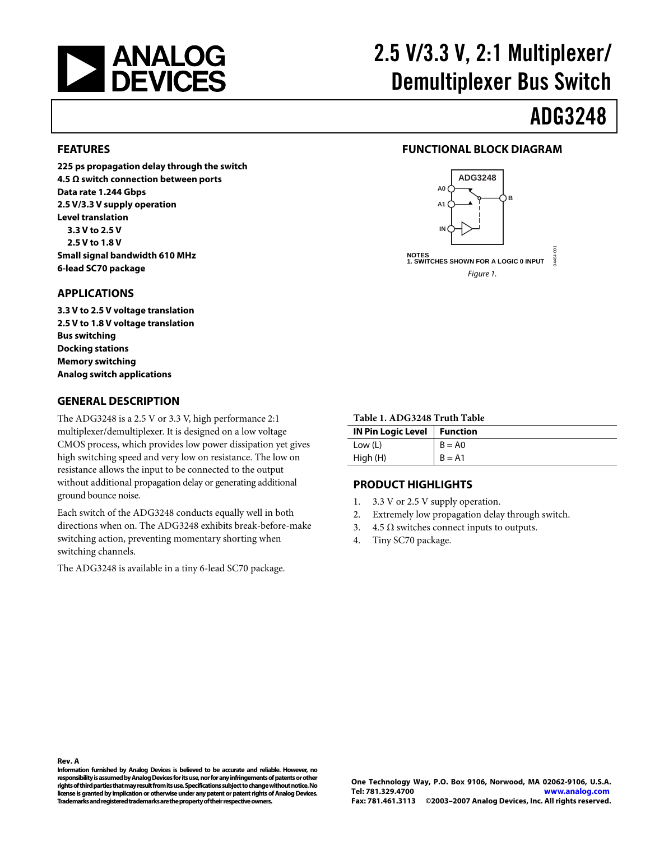<span id="page-0-0"></span>

# 2.5 V/3.3 V, 2:1 Multiplexer/ Demultiplexer Bus Switch

# ADG3248

#### **FEATURES**

**225 ps propagation delay through the switch 4.5 Ω switch connection between ports Data rate 1.244 Gbps 2.5 V/3.3 V supply operation Level translation 3.3 V to 2.5 V 2.5 V to 1.8 V Small signal bandwidth 610 MHz 6-lead SC70 package** 

#### **APPLICATIONS**

**3.3 V to 2.5 V voltage translation 2.5 V to 1.8 V voltage translation Bus switching Docking stations Memory switching Analog switch applications** 

#### **GENERAL DESCRIPTION**

The ADG3248 is a 2.5 V or 3.3 V, high performance 2:1 multiplexer/demultiplexer. It is designed on a low voltage CMOS process, which provides low power dissipation yet gives high switching speed and very low on resistance. The low on resistance allows the input to be connected to the output without additional propagation delay or generating additional ground bounce noise.

Each switch of the ADG3248 conducts equally well in both directions when on. The ADG3248 exhibits break-before-make switching action, preventing momentary shorting when switching channels.

The ADG3248 is available in a tiny 6-lead SC70 package.

#### **FUNCTIONAL BLOCK DIAGRAM**



#### **Table 1. ADG3248 Truth Table**

| IN Pin Logic Level   Function |          |
|-------------------------------|----------|
| Low (L)                       | $B = AO$ |
| High (H)                      | $B = A1$ |

#### **PRODUCT HIGHLIGHTS**

- 1. 3.3 V or 2.5 V supply operation.
- 2. Extremely low propagation delay through switch.
- 3. 4.5  $\Omega$  switches connect inputs to outputs.
- 4. Tiny SC70 package.

#### **Rev. A**

**Information furnished by Analog Devices is believed to be accurate and reliable. However, no responsibility is assumed by Analog Devices for its use, nor for any infringements of patents or other rights of third parties that may result from its use. Specifications subject to change without notice. No license is granted by implication or otherwise under any patent or patent rights of Analog Devices. Trademarks and registered trademarks are the property of their respective owners.**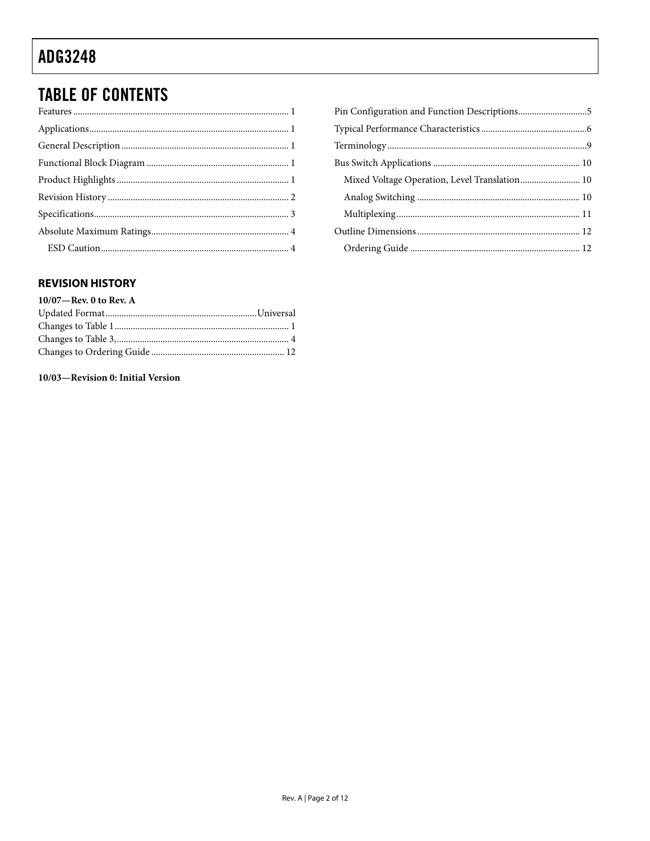### <span id="page-1-0"></span>**TABLE OF CONTENTS**

| Pin Configuration and Function Descriptions5  |  |
|-----------------------------------------------|--|
|                                               |  |
|                                               |  |
|                                               |  |
| Mixed Voltage Operation, Level Translation 10 |  |
|                                               |  |
|                                               |  |
|                                               |  |
|                                               |  |

#### **REVISION HISTORY**

| $10/07$ —Rev. 0 to Rev. A |
|---------------------------|
|                           |
|                           |
|                           |
|                           |
|                           |

10/03-Revision 0: Initial Version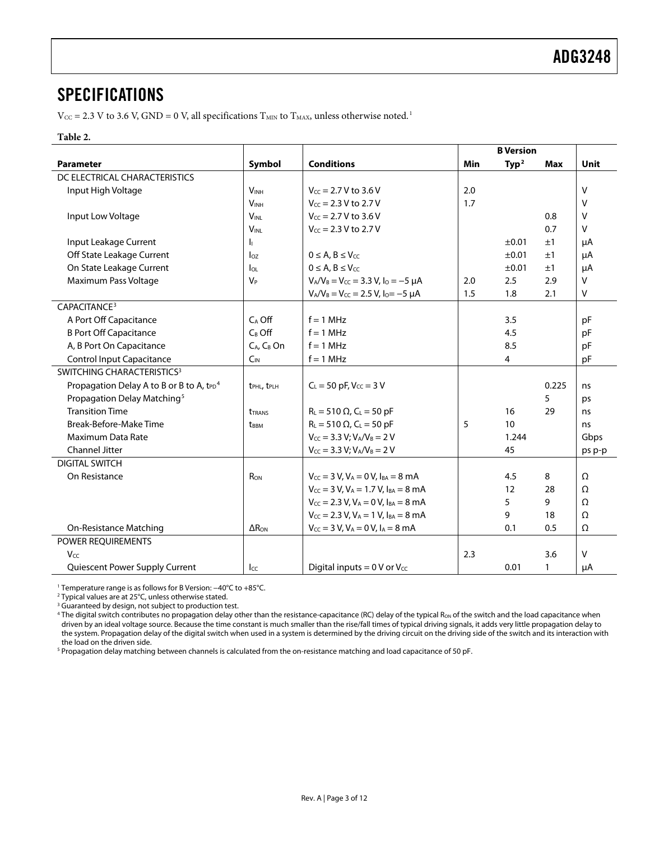### <span id="page-2-0"></span>SPECIFICATIONS

 $V_{\text{CC}} = 2.3$  V to 3.6 V, GND = 0 V, all specifications  $T_{\text{MIN}}$  to  $T_{\text{MAX}}$ , unless otherwise noted.<sup>[1](#page-11-1)</sup>

#### **Table 2.**

<span id="page-2-1"></span>

|                                                                  |                                     |                                                                |     | <b>B</b> Version  |              |             |
|------------------------------------------------------------------|-------------------------------------|----------------------------------------------------------------|-----|-------------------|--------------|-------------|
| <b>Parameter</b>                                                 | Symbol                              | <b>Conditions</b>                                              | Min | Type <sup>2</sup> | Max          | <b>Unit</b> |
| DC ELECTRICAL CHARACTERISTICS                                    |                                     |                                                                |     |                   |              |             |
| Input High Voltage                                               | <b>VINH</b>                         | $V_{CC}$ = 2.7 V to 3.6 V                                      | 2.0 |                   |              | V           |
|                                                                  | <b>VINH</b>                         | $V_{cc} = 2.3 V$ to 2.7 V                                      | 1.7 |                   |              | V           |
| Input Low Voltage                                                | <b>VINL</b>                         | $V_{cc} = 2.7 V$ to 3.6 V                                      |     |                   | 0.8          | V           |
|                                                                  | <b>VINL</b>                         | $V_{CC} = 2.3 V$ to 2.7 V                                      |     |                   | 0.7          | v           |
| Input Leakage Current                                            | h.                                  |                                                                |     | ±0.01             | ±1           | μA          |
| Off State Leakage Current                                        | $I_{OZ}$                            | $0 \leq A, B \leq V_{CC}$                                      |     | ±0.01             | ±1           | μA          |
| On State Leakage Current                                         | $I_{OL}$                            | $0 \leq A, B \leq V_{CC}$                                      |     | ±0.01             | ±1           | μA          |
| Maximum Pass Voltage                                             | $V_P$                               | $V_A/V_B = V_{CC} = 3.3 V, I_0 = -5 \mu A$                     | 2.0 | 2.5               | 2.9          | V           |
|                                                                  |                                     | $V_A/V_B = V_{CC} = 2.5 V, I_0 = -5 \mu A$                     | 1.5 | 1.8               | 2.1          | V           |
| CAPACITANCE <sup>3</sup>                                         |                                     |                                                                |     |                   |              |             |
| A Port Off Capacitance                                           | $C_A$ Off                           | $f = 1$ MHz                                                    |     | 3.5               |              | pF          |
| <b>B Port Off Capacitance</b>                                    | $C_B$ Off                           | $f = 1$ MHz                                                    |     | 4.5               |              | pF          |
| A, B Port On Capacitance                                         | $C_A$ , $C_B$ On                    | $f = 1$ MHz                                                    |     | 8.5               |              | pF          |
| <b>Control Input Capacitance</b>                                 | $C_{IN}$                            | $f = 1$ MHz                                                    |     | 4                 |              | pF          |
| SWITCHING CHARACTERISTICS <sup>3</sup>                           |                                     |                                                                |     |                   |              |             |
| Propagation Delay A to B or B to A, t <sub>PD</sub> <sup>4</sup> | t <sub>PHL</sub> , t <sub>PLH</sub> | $C_L = 50$ pF, $V_{CC} = 3$ V                                  |     |                   | 0.225        | ns          |
| Propagation Delay Matching <sup>5</sup>                          |                                     |                                                                |     |                   | 5            | ps          |
| <b>Transition Time</b>                                           | <b><i>UTRANS</i></b>                | $R_L = 510 \Omega$ , $C_L = 50 pF$                             |     | 16                | 29           | ns          |
| Break-Before-Make Time                                           | <b>t</b> <sub>BBM</sub>             | $R_L = 510 \Omega$ , C <sub>L</sub> = 50 pF                    | 5   | 10                |              | ns          |
| Maximum Data Rate                                                |                                     | $V_{CC} = 3.3 V; V_A/V_B = 2 V$                                |     | 1.244             |              | Gbps        |
| Channel Jitter                                                   |                                     | $V_{CC}$ = 3.3 V; $V_A/V_B$ = 2 V                              |     | 45                |              | ps p-p      |
| <b>DIGITAL SWITCH</b>                                            |                                     |                                                                |     |                   |              |             |
| On Resistance                                                    | R <sub>ON</sub>                     | $V_{CC}$ = 3 V, V <sub>A</sub> = 0 V, I <sub>BA</sub> = 8 mA   |     | 4.5               | 8            | Ω           |
|                                                                  |                                     | $V_{CC}$ = 3 V, V <sub>A</sub> = 1.7 V, I <sub>BA</sub> = 8 mA |     | 12                | 28           | Ω           |
|                                                                  |                                     | $V_{CC}$ = 2.3 V, V <sub>A</sub> = 0 V, I <sub>BA</sub> = 8 mA |     | 5                 | 9            | Ω           |
|                                                                  |                                     | $V_{CC} = 2.3$ V, $V_A = 1$ V, $I_{BA} = 8$ mA                 |     | 9                 | 18           | Ω           |
| <b>On-Resistance Matching</b>                                    | $\Delta R_{ON}$                     | $V_{CC}$ = 3 V, V <sub>A</sub> = 0 V, I <sub>A</sub> = 8 mA    |     | 0.1               | 0.5          | Ω           |
| POWER REQUIREMENTS                                               |                                     |                                                                |     |                   |              |             |
| Vcc                                                              |                                     |                                                                | 2.3 |                   | 3.6          | v           |
| Quiescent Power Supply Current                                   | $_{\text{L}\text{C}}$               | Digital inputs = $0 \text{ V}$ or $V_{\text{CC}}$              |     | 0.01              | $\mathbf{1}$ | μA          |

1 Temperature range is as follows for B Version: −40°C to +85°C.

2 Typical values are at 25°C, unless otherwise stated.

<sup>3</sup> Guaranteed by design, not subject to production test.

<sup>4</sup> The digital switch contributes no propagation delay other than the resistance-capacitance (RC) delay of the typical R<sub>oN</sub> of the switch and the load capacitance when driven by an ideal voltage source. Because the time constant is much smaller than the rise/fall times of typical driving signals, it adds very little propagation delay to the system. Propagation delay of the digital switch when used in a system is determined by the driving circuit on the driving side of the switch and its interaction with the load on the driven side.

<sup>5</sup> Propagation delay matching between channels is calculated from the on-resistance matching and load capacitance of 50 pF.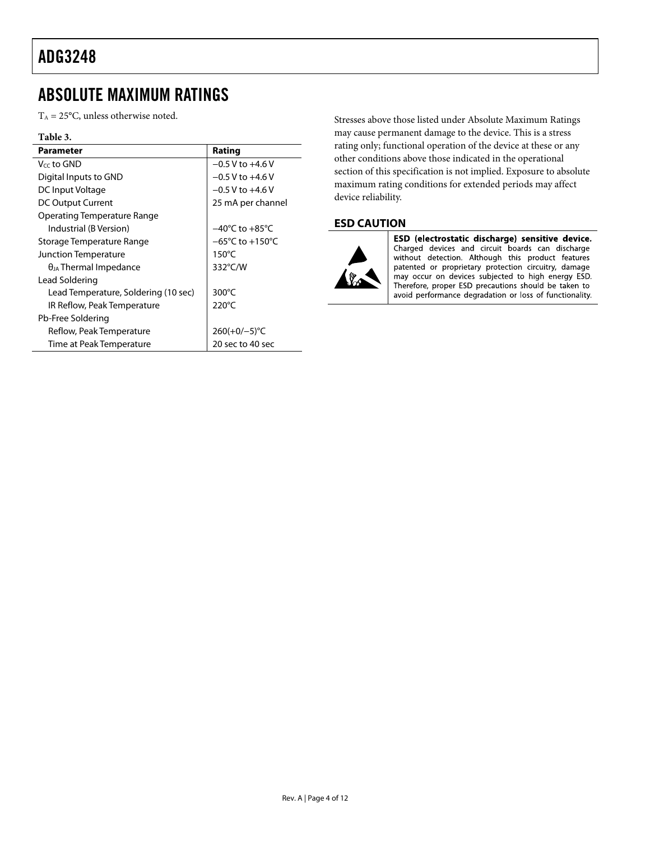### <span id="page-3-0"></span>ABSOLUTE MAXIMUM RATINGS

 $T_A = 25$ °C, unless otherwise noted.

#### **Table 3.**

| Parameter                            | Rating                              |
|--------------------------------------|-------------------------------------|
| Vcc to GND                           | $-0.5$ V to $+4.6$ V                |
| Digital Inputs to GND                | $-0.5$ V to $+4.6$ V                |
| DC Input Voltage                     | $-0.5$ V to $+4.6$ V                |
| DC Output Current                    | 25 mA per channel                   |
| Operating Temperature Range          |                                     |
| Industrial (B Version)               | $-40^{\circ}$ C to $+85^{\circ}$ C  |
| Storage Temperature Range            | $-65^{\circ}$ C to $+150^{\circ}$ C |
| Junction Temperature                 | 150°C                               |
| $\theta_{JA}$ Thermal Impedance      | 332°C/W                             |
| Lead Soldering                       |                                     |
| Lead Temperature, Soldering (10 sec) | 300 $\degree$ C                     |
| IR Reflow, Peak Temperature          | $220^{\circ}$ C                     |
| Pb-Free Soldering                    |                                     |
| Reflow, Peak Temperature             | $260(+0/-5)$ °C                     |
| Time at Peak Temperature             | 20 sec to 40 sec                    |

Stresses above those listed under Absolute Maximum Ratings may cause permanent damage to the device. This is a stress rating only; functional operation of the device at these or any other conditions above those indicated in the operational section of this specification is not implied. Exposure to absolute maximum rating conditions for extended periods may affect device reliability.

#### **ESD CAUTION**



ESD (electrostatic discharge) sensitive device. Charged devices and circuit boards can discharge without detection. Although this product features patented or proprietary protection circuitry, damage may occur on devices subjected to high energy ESD. Therefore, proper ESD precautions should be taken to avoid performance degradation or loss of functionality.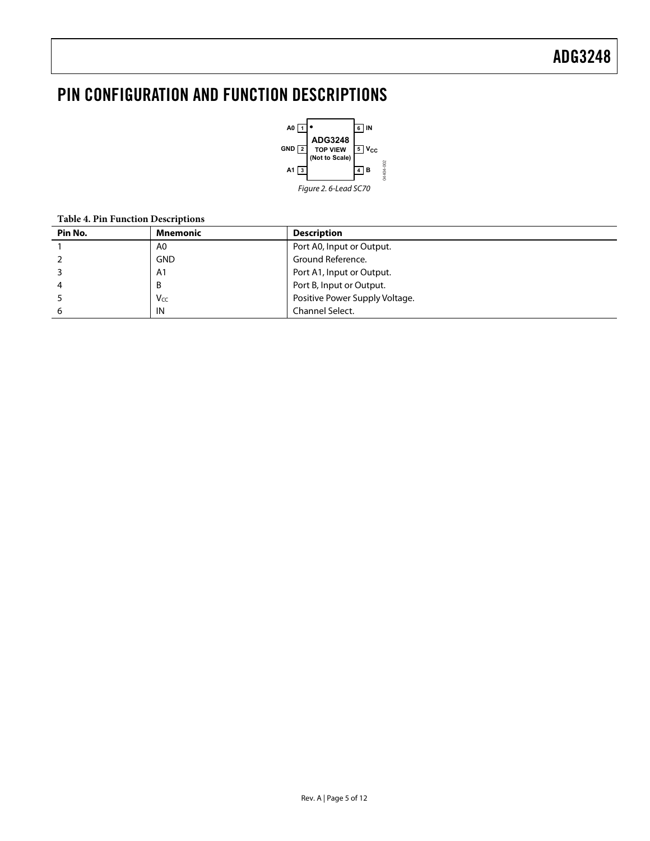## <span id="page-4-0"></span>PIN CONFIGURATION AND FUNCTION DESCRIPTIONS



#### **Table 4. Pin Function Descriptions**

| Pin No. | Mnemonic       | <b>Description</b>             |
|---------|----------------|--------------------------------|
|         | A0             | Port A0, Input or Output.      |
|         | <b>GND</b>     | Ground Reference.              |
|         | A <sub>1</sub> | Port A1, Input or Output.      |
| 4       | B              | Port B, Input or Output.       |
|         | Vcc            | Positive Power Supply Voltage. |
| 6       | IN             | Channel Select.                |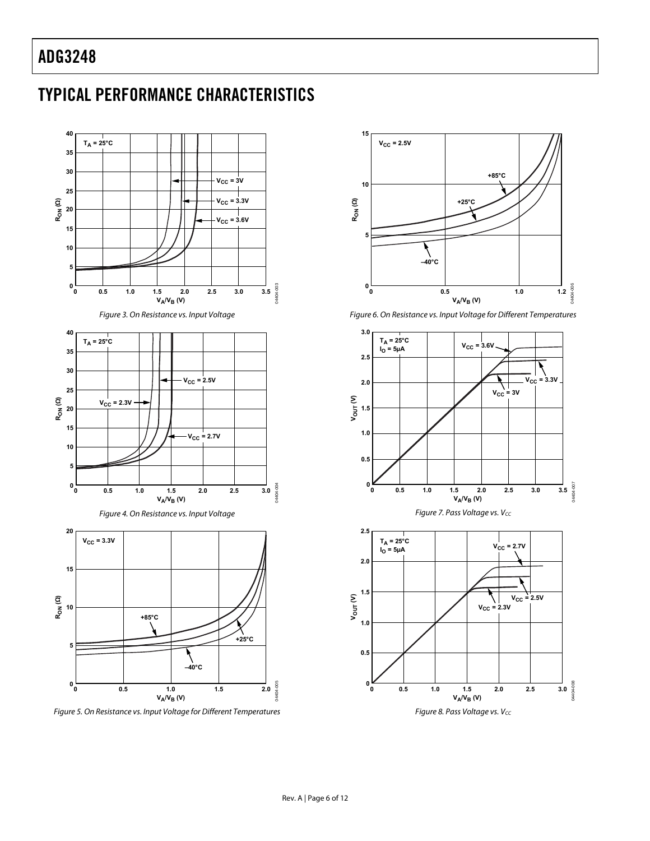## <span id="page-5-0"></span>TYPICAL PERFORMANCE CHARACTERISTICS

<span id="page-5-1"></span>

Figure 5. On Resistance vs. Input Voltage for Different Temperatures







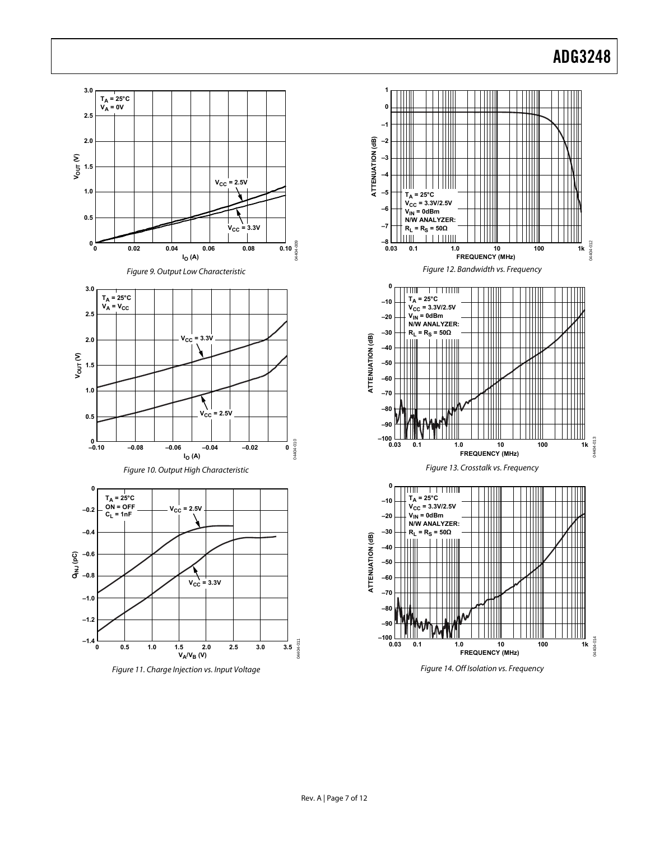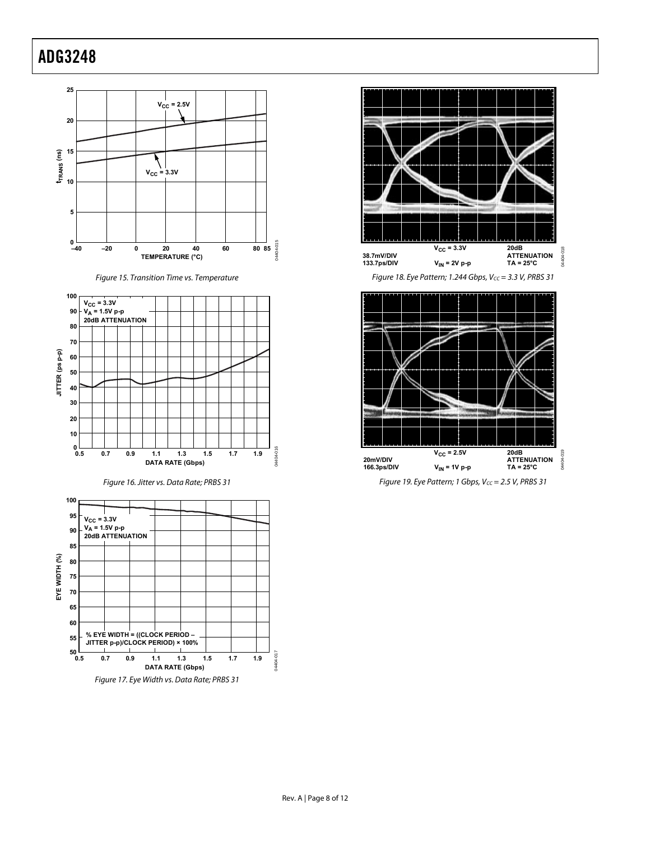

Figure 15. Transition Time vs. Temperature



Figure 16. Jitter vs. Data Rate; PRBS 31





Figure 18. Eye Pattern; 1.244 Gbps,  $V_{CC} = 3.3$  V, PRBS 31



Figure 19. Eye Pattern; 1 Gbps,  $V_{CC} = 2.5$  V, PRBS 31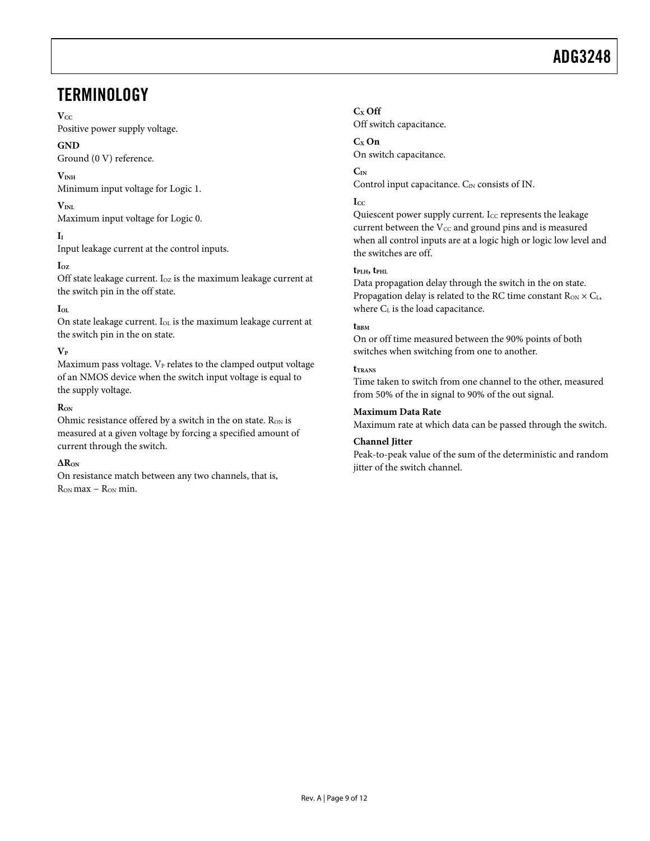### <span id="page-8-0"></span>**TERMINOLOGY**

#### $V_{CC}$

Positive power supply voltage.

#### **GND**

Ground (0 V) reference.

#### **VINH**

Minimum input voltage for Logic 1.

#### $V_{\text{INI}}$

Maximum input voltage for Logic 0.

#### **II**

Input leakage current at the control inputs.

#### **IOZ**

Off state leakage current. Ioz is the maximum leakage current at the switch pin in the off state.

#### $I_{OL}$

On state leakage current. IOL is the maximum leakage current at the switch pin in the on state.

#### $V_P$

Maximum pass voltage.  $V_P$  relates to the clamped output voltage of an NMOS device when the switch input voltage is equal to the supply voltage.

#### $R_{ON}$

Ohmic resistance offered by a switch in the on state. Ron is measured at a given voltage by forcing a specified amount of current through the switch.

#### **ΔRON**

On resistance match between any two channels, that is,  $R_{ON}$  max –  $R_{ON}$  min.

#### **CX Off**

Off switch capacitance.

#### **CX On**

On switch capacitance.

#### **CIN**

Control input capacitance. C<sub>IN</sub> consists of IN.

#### $I_{CC}$

Quiescent power supply current. I $_{\text{CC}}$  represents the leakage current between the  $V_{CC}$  and ground pins and is measured when all control inputs are at a logic high or logic low level and the switches are off.

#### **tPLH, tPHL**

Data propagation delay through the switch in the on state. Propagation delay is related to the RC time constant  $R_{ON} \times C_L$ , where CL is the load capacitance.

#### t<sub>BBM</sub>

On or off time measured between the 90% points of both switches when switching from one to another.

#### **tTRANS**

Time taken to switch from one channel to the other, measured from 50% of the in signal to 90% of the out signal.

#### **Maximum Data Rate**

Maximum rate at which data can be passed through the switch.

#### **Channel Jitter**

Peak-to-peak value of the sum of the deterministic and random jitter of the switch channel.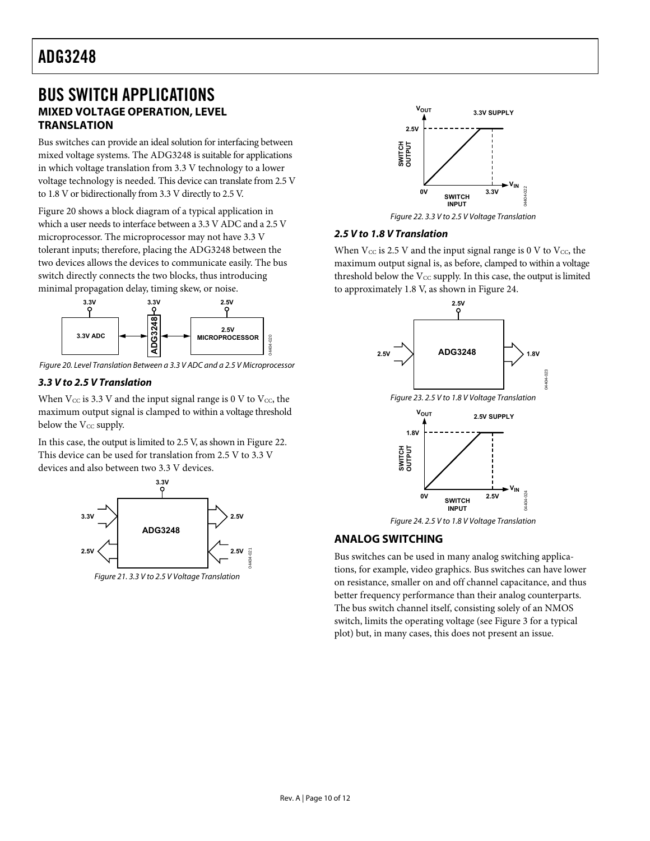### <span id="page-9-0"></span>BUS SWITCH APPLICATIONS **MIXED VOLTAGE OPERATION, LEVEL TRANSLATION**

Bus switches can provide an ideal solution for interfacing between mixed voltage systems. The ADG3248 is suitable for applications in which voltage translation from 3.3 V technology to a lower voltage technology is needed. This device can translate from 2.5 V to 1.8 V or bidirectionally from 3.3 V directly to 2.5 V.

<span id="page-9-2"></span>[Figure 20](#page-9-1) shows a block diagram of a typical application in which a user needs to interface between a 3.3 V ADC and a 2.5 V microprocessor. The microprocessor may not have 3.3 V tolerant inputs; therefore, placing the ADG3248 between the two devices allows the devices to communicate easily. The bus switch directly connects the two blocks, thus introducing minimal propagation delay, timing skew, or noise.



<span id="page-9-1"></span>Figure 20. Level Translation Between a 3.3 V ADC and a 2.5 V Microprocessor

#### **3.3 V to 2.5 V Translation**

When  $V_{CC}$  is 3.3 V and the input signal range is 0 V to  $V_{CC}$ , the maximum output signal is clamped to within a voltage threshold below the V<sub>CC</sub> supply.

<span id="page-9-3"></span>In this case, the output is limited to 2.5 V, as shown in [Figure 22](#page-9-2). This device can be used for translation from 2.5 V to 3.3 V devices and also between two 3.3 V devices.



Figure 21. 3.3 V to 2.5 V Voltage Translation



Figure 22. 3.3 V to 2.5 V Voltage Translation

#### **2.5 V to 1.8 V Translation**

When  $V_{CC}$  is 2.5 V and the input signal range is 0 V to  $V_{CC}$ , the maximum output signal is, as before, clamped to within a voltage threshold below the  $V_{CC}$  supply. In this case, the output is limited to approximately 1.8 V, as shown in [Figure 24](#page-9-3).



Figure 24. 2.5 V to 1.8 V Voltage Translation

#### **ANALOG SWITCHING**

Bus switches can be used in many analog switching applications, for example, video graphics. Bus switches can have lower on resistance, smaller on and off channel capacitance, and thus better frequency performance than their analog counterparts. The bus switch channel itself, consisting solely of an NMOS switch, limits the operating voltage (see [Figure 3](#page-5-1) for a typical plot) but, in many cases, this does not present an issue.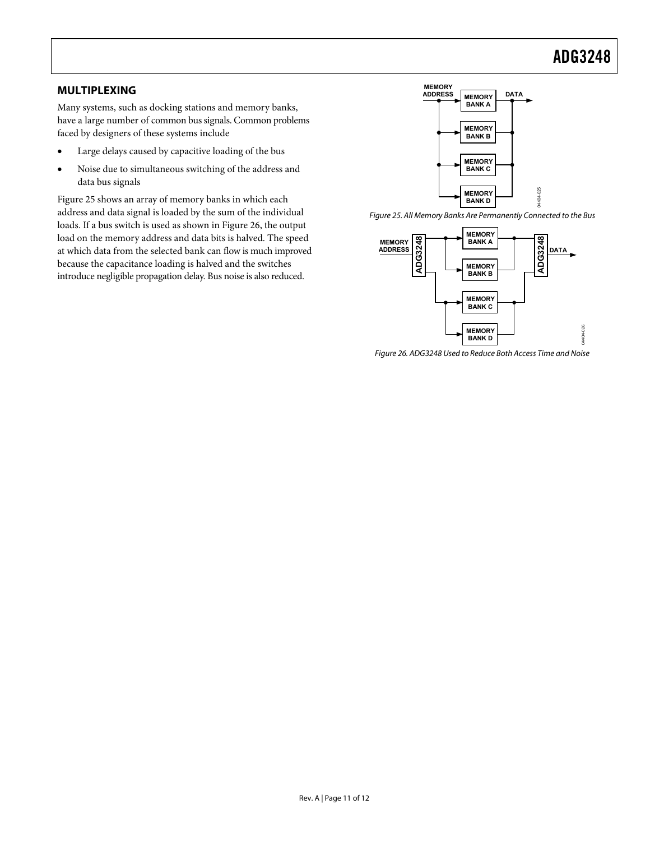#### <span id="page-10-0"></span>**MULTIPLEXING**

Many systems, such as docking stations and memory banks, have a large number of common bus signals. Common problems faced by designers of these systems include

- Large delays caused by capacitive loading of the bus
- Noise due to simultaneous switching of the address and data bus signals

<span id="page-10-2"></span><span id="page-10-1"></span>[Figure 25](#page-10-1) shows an array of memory banks in which each address and data signal is loaded by the sum of the individual loads. If a bus switch is used as shown in [Figure 26,](#page-10-2) the output load on the memory address and data bits is halved. The speed at which data from the selected bank can flow is much improved because the capacitance loading is halved and the switches introduce negligible propagation delay. Bus noise is also reduced.



Figure 25. All Memory Banks Are Permanently Connected to the Bus

04404-025

 $25$ 404-



Figure 26. ADG3248 Used to Reduce Both Access Time and Noise